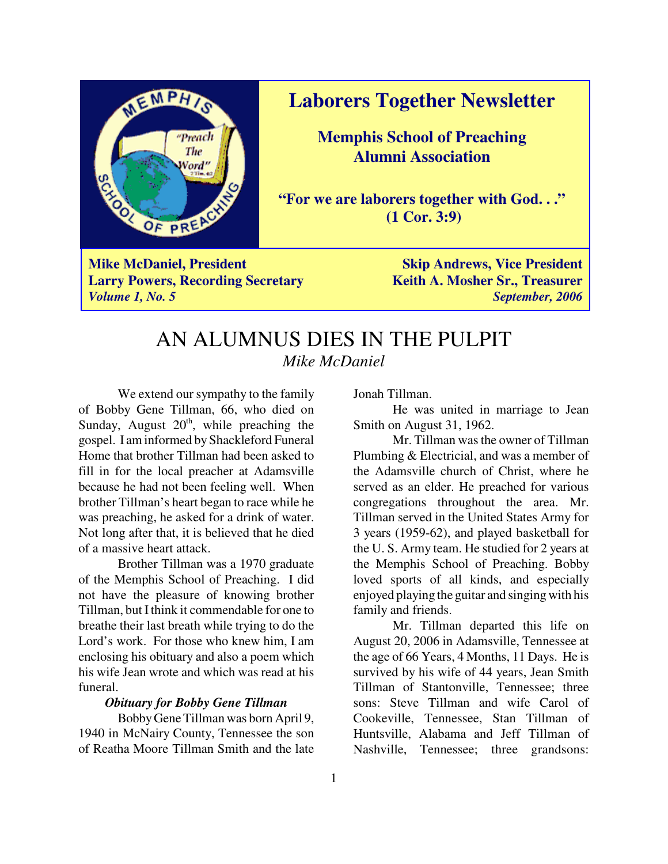

**Laborers Together Newsletter**

**Memphis School of Preaching Alumni Association**

**"For we are laborers together with God. . ." (1 Cor. 3:9)**

**Mike McDaniel, President Skip Andrews, Vice President Skip Andrews, Vice President Larry Powers, Recording Secretary Keith A. Mosher Sr., Treasurer** *Volume 1, No. 5 September, 2006*

### AN ALUMNUS DIES IN THE PULPIT *Mike McDaniel*

We extend our sympathy to the family of Bobby Gene Tillman, 66, who died on Sunday, August  $20<sup>th</sup>$ , while preaching the gospel. I am informed by Shackleford Funeral Home that brother Tillman had been asked to fill in for the local preacher at Adamsville because he had not been feeling well. When brother Tillman's heart began to race while he was preaching, he asked for a drink of water. Not long after that, it is believed that he died of a massive heart attack.

Brother Tillman was a 1970 graduate of the Memphis School of Preaching. I did not have the pleasure of knowing brother Tillman, but I think it commendable for one to breathe their last breath while trying to do the Lord's work. For those who knew him, I am enclosing his obituary and also a poem which his wife Jean wrote and which was read at his funeral.

#### *Obituary for Bobby Gene Tillman*

Bobby Gene Tillman was born April 9, 1940 in McNairy County, Tennessee the son of Reatha Moore Tillman Smith and the late Jonah Tillman.

He was united in marriage to Jean Smith on August 31, 1962.

Mr. Tillman was the owner of Tillman Plumbing & Electricial, and was a member of the Adamsville church of Christ, where he served as an elder. He preached for various congregations throughout the area. Mr. Tillman served in the United States Army for 3 years (1959-62), and played basketball for the U. S. Army team. He studied for 2 years at the Memphis School of Preaching. Bobby loved sports of all kinds, and especially enjoyed playing the guitar and singing with his family and friends.

Mr. Tillman departed this life on August 20, 2006 in Adamsville, Tennessee at the age of 66 Years, 4 Months, 11 Days. He is survived by his wife of 44 years, Jean Smith Tillman of Stantonville, Tennessee; three sons: Steve Tillman and wife Carol of Cookeville, Tennessee, Stan Tillman of Huntsville, Alabama and Jeff Tillman of Nashville, Tennessee; three grandsons: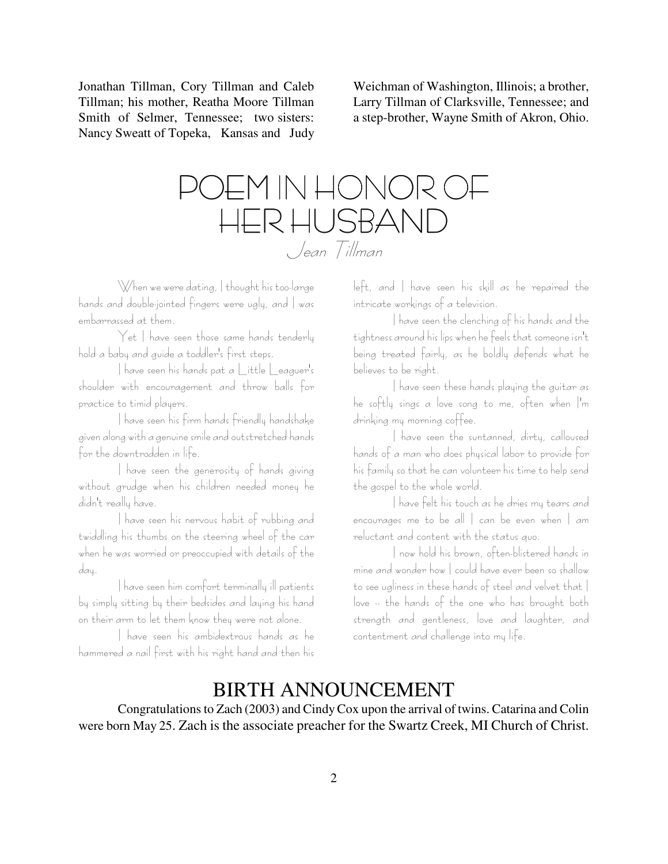Jonathan Tillman, Cory Tillman and Caleb Tillman; his mother, Reatha Moore Tillman Smith of Selmer, Tennessee; two sisters: Nancy Sweatt of Topeka, Kansas and Judy

Weichman of Washington, Illinois; a brother, Larry Tillman of Clarksville, Tennessee; and a step-brother, Wayne Smith of Akron, Ohio.

# )EM IN HONOR C HER HUSBAND Jean Tillman

When we were dating, I thought his too-large hands and double-jointed fingers were ugly, and I was embarrassed at them.

Yet I have seen those same hands tenderly hold a baby and guide a toddler's first steps.

I have seen his hands pat a Little Leaguer's shoulder with encouragement and throw balls for practice to timid players.

I have seen his firm hands friendly handshake given along with a genuine smile and outstretched hands for the downtrodden in life.

I have seen the generosity of hands giving without grudge when his children needed money he didn't really have.

I have seen his nervous habit of rubbing and twiddling his thumbs on the steering wheel of the car when he was worried or preoccupied with details of the day.

I have seen him comfort terminally ill patients by simply sitting by their bedsides and laying his hand on their arm to let them know they were not alone.

I have seen his ambidextrous hands as he hammered a nail first with his right hand and then his left, and | have seen his skill as he repaired the intricate workings of a television.

I have seen the clenching of his hands and the tightness around his lips when he feels that someone isn't being treated fairly, as he boldly defends what he believes to be right.

I have seen these hands playing the guitar as he softly sings a love song to me, often when I'm drinking my morning coffee.

I have seen the suntanned, dirty, calloused hands of a man who does physical labor to provide for his family so that he can volunteer his time to help send the gospel to the whole world.

I have felt his touch as he dries my tears and encourages me to be all  $|$  can be even when  $|$  am reluctant and content with the status quo.

I now hold his brown, often-blistered hands in mine and wonder how I could have ever been so shallow to see ugliness in these hands of steel and velvet that I love -- the hands of the one who has brought both strength and gentleness, love and laughter, and contentment and challenge into my life.

### BIRTH ANNOUNCEMENT

Congratulations to Zach (2003) and Cindy Cox upon the arrival of twins. Catarina and Colin were born May 25. Zach is the associate preacher for the Swartz Creek, MI Church of Christ.